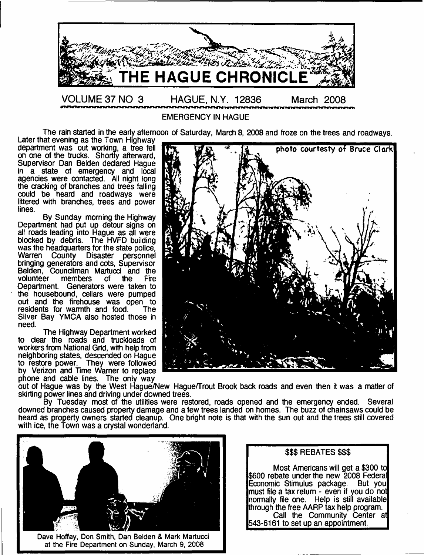

EMERGENCY IN HAGUE

The rain started in the early afternoon of Saturday, March 8, 2008 and froze on the trees and roadways.

Later that evening as the Town Highway on one of the trucks. Shortly afterward, Supervisor Dan Belden declared Haque in a state of emergency and local agencies were contacted. All night long the cracking of branches and trees falling could be heard and roadways were littered with branches, trees and power lines.

By Sunday morning the Highway Department had put up detour signs on all roads leading into Hague as all were blocked by debris. The HVFD building was the headquarters for the state police. Warren County Disaster personnel bringing generators and cots, Supervisor Belden, Councilman Martucci and the volunteer members of the Fire volunteer members of the Fire Department. Generators were taken to the housebound, cellars were pumped out and the firehouse was open to<br>residents for warmth and food. The residents for warmth and food. Silver Bay YMCA also hosted those in need.

The Highway Department worked to dear the roads and truckloads of workers from National Grid, with help from neighboring states, descended on Hague to restore power. They were followed by Verizon and Time Warner to replace phone and cable lines. The only way



out of Hague was by the West Hague/New Hague/Trout Brook back roads and even then it was a matter of skirting power lines and driving under downed trees.

By Tuesday most of the utilities were restored, roads opened and the emergency ended. Several downed branches caused property damage and a few trees landed on homes. The buzz of chainsaws could be heard as property owners started cleanup. One bright note is that with the sun out and the trees still covered with ice, the Town was a crystal wonderland.



Dave Hoffay, Don Smith, Dan Belden & Mark Martucci at the Fire Department on Sunday, March 9, 2008

# \$\$\$ REBATES \$\$\$

Most Americans will get a \$300 to \$600 rebate under the new 2008 Federal Economic Stimulus package. But you must file a tax return - even if you do not normally file one. Help is still available through the free AARP tax help program. Call the Community Center at 543-6161 to set up an appointment.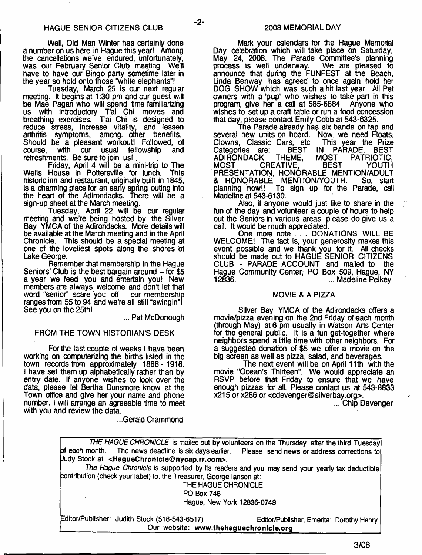-2-

Well, Old Man Winter has certainly done a number on us here in Hague this year! Among the cancellations we've endured, unfortunately, was our February Senior Club meeting. We'll have to have our Bingo party sometime later in the year so hold onto those "white elephants"!

Tuesday, March 25 is our next regular meeting. It begins at 1:30 pm and our guest will be Mae Pagan who will spend time familiarizing us with introductory T'ai Chi moves and breathing exercises. T'ai Chi is designed to reduce stress, increase vitality, and lessen arthritis symptoms, among, other benefits. Should be a pleasant workout! Followed, of course, with our usual fellowship and refreshments. Be sure to join us!

Friday, April 4 will be a mini-trip to The Wells House in Pottersville for lunch. historic inn and restaurant, originally built in 1845, is a charming place for an early spring outing into the heart of the Adirondacks. There will be a sign-up sheet at the March meeting.

Tuesday, April 22 wijl be our regular meeting and we're being hosted by the Silver Bay YMCA of the Adirondacks. More details will be available at the March meeting and in the April Chronicle. This should be a special meeting at one of the loveliest spots along the shores of Lake George.

Remember that membership in the Hague Seniors' Club is the best bargain around  $-$  for \$5 a year we feed you and entertain you! New members are always welcome and don't let that word "senior" scare you off  $-$  our membership ranges from 55 to 94 and we're all still "swingin"! See you on the 25th!

... Pat McDonough

#### FROM THE TOWN HISTORIAN'S DESK

For the last couple of weeks I have been working on computerizing the births listed in the town records from approximately 1888- 1916. I have set them up alphabetically rather than by entry date. If anyone wishes to look over the data, please let Bertha Dunsmore know at the Town office and give her your name and phone number. I will arrange an agreeable time to meet with you and review the data.

...Gerald Crammond

Mark your calendars for the Hague Memorial Day celebration which will take place on Saturday, May 24, 2008. The Parade Committee's planning<br>process is well underway. We are pleased to process is well underway. announce that during the FUNFEST at the Beach, Unda Benway has agreed to once again hold her DOG SHOW which was such a hit last year. All Pet owners with a 'pup' who wishes to take part in this program, give her a call at 585-6884. Anyone who wishes to set up a craft table or run a food concession that day, please contact Emily Cobb at 543-6325.

The Parade already has six bands on tap and several new units on board. Now, we need Floats,<br>Clowns. Classic Cars. etc. This year the Prize Clowns, Classic Cars, etc. T<br>Categories are: BEST IN BEST IN PARADE, BEST<br>THEME, MOST PATRIOTIC, ADIRONDACK THEME, MOST PATRIOTIC,<br>MOST CREATIVE, BEST YOUTH MOST CREATIVE, BEST YOUTH PRESENTATION, HONORABLE MENTION/ADULT & HONORABLE MENTION/YOUTH. So, start planning now!! To sign up for the Parade, call Madeline at 543-6130.

Also, if anyone would just like to share in the fun of the day and volunteer a couple of hours to help out the Seniors in various areas, please do give us a call. It would be much appreciated.

One more note . . . DONATIONS WILL BE WELCOME! The fact is, your generosity makes this event possible and we thank you for it. All checks should be made out to HAGUE SENIOR CITIZENS CLUB - PARADE ACCOUNT and mailed to the Hague Community Center, PO Box 509, Hague, NY ... Madeline Pelkey

#### MOVIE & A PIZZA

Silver Bay YMCA of the Adirondacks offers a movie/pizza evening on the 2nd Friday of each month (through May) at 6 pm usually in Watson Arts Center for the general public. It is a fun get-together where neighbors spend a little time with other neighbors. For a suggested donation of \$5 we offer a movie on the big screen as well as pizza, salad, and beverages.

The next event will be on April 11th with the movie "Ocean's Thirteen". We would appreciate an RSVP before that Friday to ensure that we have enough pizzas for all. Please contact us at 543-8833 x215 or x286 or [<cdevenger@silverbay.org](mailto:cdevenger@silverbay.org)>.

... Chip Devenger

| THE HAGUE CHRONICLE is mailed out by volunteers on the Thursday after the third Tuesday          |                                          |
|--------------------------------------------------------------------------------------------------|------------------------------------------|
| of each month. The news deadline is six days earlier. Please send news or address corrections to |                                          |
| Uudy Stock at <haguechronicle@nycap.rr.com>.</haguechronicle@nycap.rr.com>                       |                                          |
| The Hague Chronicle is supported by its readers and you may send your yearly tax deductible      |                                          |
| contribution (check your label) to: the Treasurer, George lanson at:                             |                                          |
| THE HAGUE CHRONICLE                                                                              |                                          |
| <b>PO Box 748</b>                                                                                |                                          |
| Hague, New York 12836-0748                                                                       |                                          |
| Editor/Publisher: Judith Stock (518-543-6517)                                                    | Editor/Publisher, Emerita: Dorothy Henry |

\_\_\_\_\_\_\_\_\_\_\_\_\_\_\_\_\_\_\_\_\_ Our website: **[www.thehaguechronlcle.org](http://www.thehaguechronlcle.org)\_\_\_\_\_\_\_\_\_\_\_\_\_\_\_\_\_\_\_\_\_\_**

**3/08**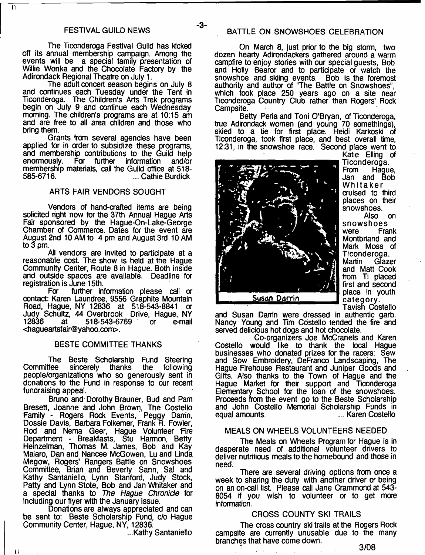-3-

 $|1|$ 

The Ticonderoga Festival Guild has kicked off its annual membership campaign. Among the events will be a special family presentation of Willie Wonka and the Chocolate Factory by the Adirondack Regional Theatre on July 1.

The adult concert season begins on July 8 and continues each Tuesday under the Tent in Ticonderoga. The Children's Arts Trek programs begin on July 9 and continue each Wednesday morning. The children's programs are at 10:15 am and are free to all area children and those who bring them.

Grants from several agencies have been applied for in order to subsidize these programs, and membership contributions to the Guild help information membership materials, call the Guild office at 518- ... Cathie Burdick

#### ARTS FAIR VENDORS SOUGHT

Vendors of hand-crafted items are being solicited right now for the 37th Annual Hague Arts Fair sponsored by the Hague-On-Lake-George Chamber of Commerce. Dates for the event are August 2nd 10 AM to 4 pm and August 3rd 10 AM to 3 pm.

All vendors are invited to participate at a reasonable cost. The show is held at the Hague Community Center, Route 8 in Hague. Both inside and outside spaces are available. Deadline for registration is June 15th.<br>For further in

further information please call or contact: Karen Laundree, 9556 Graphite Mountain Road, Hague, NY 12836 at 518-543-8841 or Judy Schultz, 44 Overbrook Drive, Hague, NY 518-543-6769 or e-mail [<hagueartsfair@yahoo.com](mailto:hagueartsfair@yahoo.com)>.

#### BESTE COMMITTEE THANKS

The Beste Scholarship Fund Steering<br>Committee sincerely thanks the following sincerely thanks people/organizations who so generously sent in donations to the Fund in response to our recent fundraising appeal.

Bruno and Dorothy Brauner, Bud and Pam Bresett, Joanne and John Brown, The Costello Family - Rogers Rock Events, Peggy Darrin, Dossie Davis, Barbara Folkemer, Frank R. Fowler, Rod and Nema Geer, Hague Volunteer Fire Department - Breakfasts, Stu Harmon, Betty Heinzelman, Thomas M. James, Bob and Kay Maiaro, Dan and Nancee McGowen, Lu and Linda Megow, Rogers' Rangers Battle on Snowshoes Committee, Brian and Beverly Sann, Sal and Kathy Santaniello, Lynn Stanford, Judy Stock, Patty and Lynn Stote, Bob and Jan Whitaker and a special thanks to *The Hague Chronicle* for including our flyer with the January issue.

Donations are always appreciated and can be sent to: Beste Scholarship Fund, c/o Hague Community Center, Hague, NY, 12836.

...Kathy Santaniello

On March 8, just prior to the big storm, two dozen hearty Adirondackers gathered around a warm campfire to enjoy stories with our special guests, Bob and Holly Bearor and to participate or watch the snowshoe and skiing events. Bob is the foremost authority and author of "The Battle on Snowshoes", which took place 250 years ago on a site near Ticonderoga Country Club rather than Rogers' Rock Campsite.

Betty Peria and Toni O'Bryan, of Ticonderoga, true Adirondack women (and young 70 somethings), skied to a tie for first place. Heidi Karkoski of Ticonderoga, took first place, and best overall time, 12:31, in the snowshoe race. Second place went to



Katie Elling of Ticonderoga.<br>From Haque Hague, Jan and Bob Whitaker auised to third places on their snowshoes.

Also on snowshoes were Frank Montbriand and Mark Moss of Ticonderoga.<br>Martin Glazo Glazer and Matt Cook from Ti placed first and second category. Tavish Costello

and Susan Danin were dressed in authentic garb. Nancy Young and Tim Costello tended the fire and served delicious hot dogs and hot chocolate.

Co-organizers Joe McCranels and Karen Costello would like to thank the local Hague businesses who donated prizes for the racers: Sew and Sow Embroidery, DeFranco Landscaping, The Hague Firehouse Restaurant and Juniper Goods and Gifts. Also thanks to the Town of Hague and the Hague Market for their support and Ticonderoga Elementary School for the loan of the snowshoes. Proceeds from the event go to the Beste Scholarship and John Costello Memorial Scholarship Funds in equal amounts. ... Karen Costello

#### MEALS ON WHEELS VOLUNTEERS NEEDED

The Meals on Wheels Program for Hague is in desperate need of additional volunteer drivers to deliver nutritious meals to the homebound and those in need.

There are several driving options from once a week to sharing the duty with another driver or being on an on-call list. Please call Jane Crammond at 543- 8054 if you wish to volunteer or to get more information.

#### CROSS COUNTY SKI TRAILS

The cross country ski trails at the Rogers Rock campsite are currently unusable due to the many branches that have come down.

 $\mathsf{U}$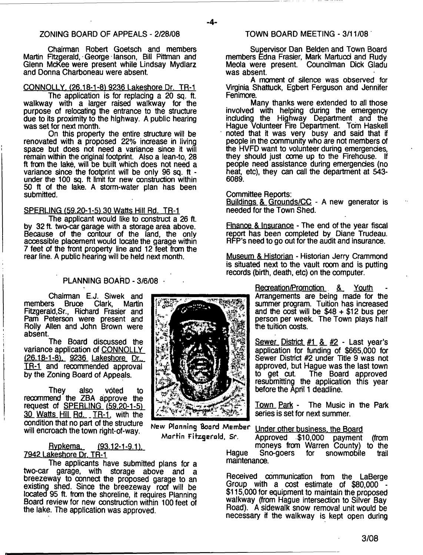### ZONING BOARD OF APPEALS - 2/28/08

Chairman Robert Goetsch and members Martin Frtzgerald, George lanson, Bill Pittman and Glenn McKee were present while Lindsay Mydlarz and Donna Charboneau were absent.

#### CONNOLLY. (26.18-1-8) 9236 Lakeshore Dr. TR-1

The application is for replacing a 20 sq. ft. walkway with a larger raised walkway for the purpose of relocating the entrance to the structure due to its proximity to the highway. A public hearing was set for next month.

On this property the entire structure will be renovated with a proposed 22% increase in living space but does not need a variance since it will remain within the original footprint. Also a lean-to, 28 ft from the lake, will be built which does not need a variance since the footprint will be only 96 sq. ft under the 100 sq. ft limit for new construction within 50 ft of the lake. A storm-water plan has been submitted.

#### SPERLING (59.20-1-51 30 Watts Hill Rd. TR-1

The applicant would like to construct a 26 ft. by 32 ft. two-car garage with a storage area above. Because of the contour of the land, the only accessible placement would locate the garage within 7 feet of the front property line and 12 feet from the rear line. A public hearing will be held next month.

#### PLANNING BOARD - 3/6/08 ·

Chairman E.J. Siwek and<br>rs Bruce Clark. Martin members Fitzgerald,Sr., Richard Frasier and Pam Peterson were present and Roily Allen and John Brown were absent.

The Board discussed the variance application of CONNOLLY {26.18-1-8). 9236 Lakeshore Dr.. TR-1 and recommended approval by the Zoning Board of Appeals.

They also voted to recommend the ZBA approve the request of <u>SPERLING (59.20-1-5)</u> 30 Watts Hill Rd. TR-1, with the condition that no part of the structure will encroach the town right-of-way.

#### Rvpkema. {93.12-1-9.1). 7942. Lakeshore Dr. TR-1

The applicants have submitted plans for a two-car garage, with storage above and a breezeway to connect the proposed garage to an existing shed. Since the breezeway roof will be located 95 ft. from the shoreline, it requires Planning Board review for new construction within 100 feet of the lake. The application was approved.

TOWN BOARD MEETING - 3/11/08

Supervisor Dan Belden and Town Board members Edna Frasier, Mark Martucd and Rudy Meola were present. Councilman Dick Gladu was absent.

A moment of silence was observed for Virginia Shattuck, Egbert Ferguson and Jennifer Fenimore.

Many thanks were extended to all those involved with helping during the emergency including the Highway Department and the Hague Volunteer Fire Department. Tom Haskell noted that it was very busy and said that if people in the community who are not members of the HVFD want to volunteer during emergencies, they should just come up to the Firehouse. If people need assistance during emergencies (no heat, etc), they can call the department at 543- 6089.

Committee Reports:

Buildings & Grounds/CC - A new generator is needed for the Town Shed.

Finance & Insurance - The end of the year fiscal report has been completed by Diane Trudeau. RfP's need to go out for the audit and insurance.

Museum & Historian - Historian Jerry Crammond is situated next to the vault room and is putting records (birth, death, etc) on the computer.

> Recreation/Promotion &\_ Youth Arrangements are being made for the summer program. Tuition has increased and the  $\cos\theta$  will be  $$48 + $12$  bus per person per week. The Town plays half the tuition costs.

> Sewer District #1 & #2 - Last year's application for funding of \$665,000 for Sewer District #2 under Title 9 was not approved, but Hague was the last town<br>to get cut. The Board approved The Board approved resubmitting the application this year before the April 1 deadline.

> Town Park - The Music in the Park series is set for next summer.

New Planning Board Member Under other business, the Board

**Martin Fitzgerald, sr.** Approved \$10,000 payment (from moneys from Warren County) to the<br>Sno-goers for snowmobile trail Haque Sno-goers for snowmobile maintenance.

> Received communication from the LaBerge Group with a cost estimate of \$80,000 \$115,000 for equipment to maintain the proposed walkway (from Hague intersection to Silver Bay Road). A sidewalk snow removal unit would be necessary if the walkway is kept open during



**-4-**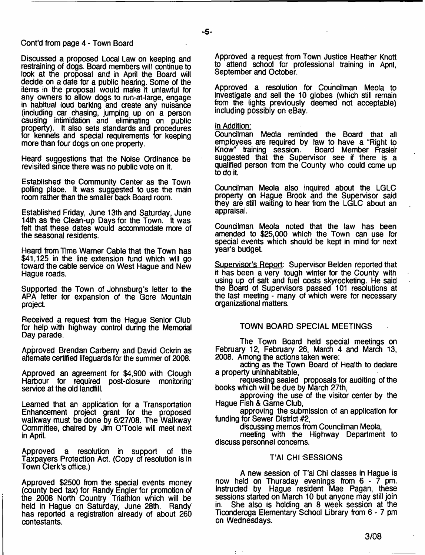#### Cont'd from page 4 - Town Board

Discussed a proposed Local Law on keeping and restraining of dogs. Board members will oontinue to look at the proposal and in April the Board will decide on a date for a public hearing. Some of the items in the proposal would make it unlawful for any owners to allow dogs to run-at-large, engage in habitual loud barking and create any nuisance (including car chasing, jumping up on a person causing intimidation and eliminating on public property). It also sets standards and procedures for kennels and special requirements for keeping more than four dogs on one property.

Heard suggestions that the Noise Ordinanoe be revisited since there was no public vote on it.

Established the Community Center as the Town polling place. It was suggested to use the main room rather than the smaller back Board room.

Established Friday, June 13th and Saturday, June 14th as the Clean-up Days for the Town. It was felt that these dates would accommodate more of the seasonal residents.

Heard from Time Warner Cable that the Town has \$41,125 in the line extension fund which will go toward the cable service on West Hague and New Hague roads.

Supported the Town of Johnsburg's letter to the APA letter for expansion of the Gore Mountain project.

Received a request from the Hague Senior Club for help with highway control during the Memorial Day parade.

Approved Brendan Carberry and David Ockrin as alternate certified lifeguards for the summer of 2008.

Approved an agreement for \$4,900 with Clough Harbour for required post-closure monitoring service at the old landfill.

Learned that an application for a Transportation Enhancement project grant for the proposed walkway must be done by 6/27/08. The Walkway Committee, chaired by Jim O'Toole will meet next in April.

Approved a resolution in support of the Taxpayers Protection Act. (Copy of resolution is in Town Clerk's office.)

Approved \$2500 from the special events money (county bed tax) for Randy Engler for promotion of the 2008 North Country Triathlon which will be held in Hague on Saturday, June 28th. Randy' has reported a registration already of about 260 contestants.

Approved a request from Town Justice Heather Knott to attend school for professional training in April, September and October.

Approved a resolution for Councilman Meola to investigate and sell the 10 globes (which still remain from the lights previously deemed not acceptable) including possibly on eBay.

#### In Addition:

Councilman Meola reminded the Board that all employees are required by law to have a "Right to  $Know<sup>n</sup>$  training session. suggested that the Supervisor see if there is a qualified person from the County who could come up to do it.

Councilman Meola also inquired about the LGLC property on Hague Brook and the Supervisor said they are still waiting to hear from the LGLC about an appraisal.

Councilman Meola noted that the law has been amended to \$25,000 which the Town can use for special events which should be kept in mind for next year's budget.

Supervisor's Report: Supervisor Belden reported that it has been a very tough winter for the County with using up of salt and fuel costs skyrocketing. He said the Board of Supervisors passed 101 resolutions at the last meeting - many of which were for necessary organizational matters.

### TOWN BOARD SPECIAL MEETINGS

The Town Board held special meetings on February 12, February 26, March 4 and March 13, 2008. Among the actions taken were:

acting as the Town Board of Health to declare a property uninhabitable,

requesting sealed proposals for auditing of the books which will be due by March 27th,

approving the use of the visitor center by the Hague Fish & Game Club,

approving the submission of an application for funding for Sewer District #2,

discussing memos from Councilman Meola,

meeting with the Highway Department to discuss personnel concerns.

#### T'AI CHI SESSIONS

A new session of T'ai Chi classes in Hague is now held on Thursday evenings from 6 - 7 pm. Instructed by Hague resident Mae Pagan, these sessions started on March 10 but anyone may still join in. She also is holding an 8 week session at the Ticonderoga Elementary School Library from 6 - 7 pm on Wednesdays.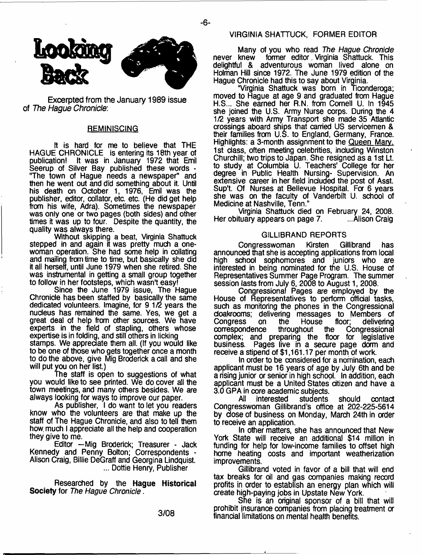

Excerpted from the January 1989 issue of *The Hague Chronicle:*

#### **REMINISCING**

It is hard for me to believe that THE HAGUE CHRONICLE is entering its 18th year of publication! It was in January 1972 that Emil Seerup of Silver Bay published these words - "The town of Hague needs a newspaper" and then he went out and did something about it. Until his death on October 1, 1976, Emil was the publisher, editor, collator, etc. etc. (He did get help from his wife, Adra). Sometimes the newspaper was only one or two pages (both sides) and other times it was up to four. Despite the quantity, the quality was always there.

Without skipping a beat, Virginia Shattuck stepped in and again it was pretty much a onewoman operation. She had some help in collating and mailing from time to time, but basically she did it all herself, until June 1979 when she retired. She was instrumental in getting a small group together to follow in her footsteps, which wasn't easy!

Since the June 1979 issue, The Hague Chronicle has been staffed by basically the same dedicated volunteers. Imagine, for 9 1/2 years the nucleus has remained the same. Yes, we get a great deal of help from other sources. We have experts in the field of stapling, others whose expertise is in folding, and still others in licking stamps. We appreciate them all. (If you would like to be one of those who gets together once a month to do the above, give Mig Broderick a call and she will put you on her list.)

The staff is open to suggestions of what you would like to see printed. We do cover all the town meetings, and many others besides. We are always looking for ways to improve our paper.

As publisher, I do want to let you readers know who the volunteers are that make up the staff of The Hague Chronicle, and also to tell them how. much I appreciate all the help and cooperation they give to me.

Editor —Mig Broderick; Treasurer - Jack Kennedy and Penny Bolton; Correspondents - Alison Craig, Billie DeGraff and Georgina Lindquist. ... Dottie Henry, Publisher

Researched by the **Hague Historical Society** for *The Hague Chronicle*.

# VIRGINIA SHATTUCK, FORMER EDITOR

Many of you who read *The Hague Chronicle* former editor. Virginia Shattuck. This delightful & adventurous woman lived alone on Holman Hill since 1972. The June 1979 edition of the Hague Chronicle had this to say about Virginia.

"Virginia Shattuck was born in Ticonderoga; moved to Hague at age 9 and graduated from Hague H.S... She earned her R.N. from Cornell U. In 1945 she joined the U.S. Army Nurse corps. During the 4 1/2 years with Army Transport she made 35 Atlantic crossings aboard ships that carried US servicemen & their families from U.S. to England, Germany, France. Highlights: a 3-month assignment to the Queen Marv. 1st class, often meeting celebrities, including Winston Churchill; two trips to Japan. She resigned as a 1st Lt. to study at Columbia U. Teachers' College for her degree in Public Health Nursing- Supervision. An extensive career in her field included the post of Asst. Sup't. Of Nurses at Bellevue Hospital. For 6 years she was on the faculty of Vanderbilt U. school of Medicine at Nashville, Tenn."

Virginia Shattuck died on February 24, 2008. Her obituary appears on page 7.

#### GILLIBRAND REPORTS

Congresswoman Kirsten Gillibrand has announced that she is accepting applications from local high school sophomores and juniors who are interested in being nominated for the U.S. House of Representatives Summer Page Program. The summer session lasts from July 6, 2008 to August 1, 2008.

Congressional Pages are employed by the House of Representatives to perform official tasks, such as monitoring the phones in the Congressional cloakrooms; delivering messages to Members of<br>Congress on the House floor; delivering Congress on the House floor; delivering<br>correspondence throughout the Congressional correspondence throughout the Congressional complex; and preparing the floor for legislative business. Pages live in a secure page dorm and receive a stipend of \$1,161.17 per month of work.

In order to be considered for a nomination, each applicant must be 16 years of age by July 6th and be a rising junior or senior in high school. In addition, each applicant must be a United States citizen and have a 3.0 GPA in core academic subjects.

All interested students should contact Congresswoman Gillibrand's office at 202-225-5614 by dose of business on Monday, March 24th in order to receive an application.

In other matters, she has announced that New York State will receive an additional \$14 million in funding for help for low-income families to offset high home heating costs and important weatherization improvements.

Gillibrand voted in favor of a bill that will end tax breaks for oil and gas companies making record profits in order to establish an energy plan which will create high-paying jobs in Upstate New York.

She is an original sponsor of a bill that will prohibit insurance companies from placing treatment or financial limitations on mental health benefits.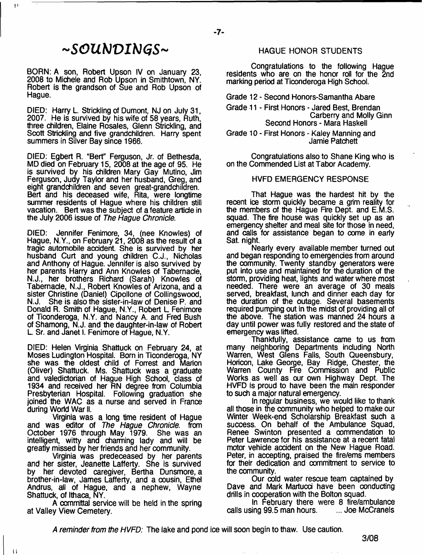# *~SOXlbJT)Ib}(iS~*

BORN: A son, Robert Upson IV on January 23, 2008 to Michele and Rob Upson in Smithtown, NY. Robert is the grandson of Sue and Rob Upson of Hague.

DIED: Harry L. Strickling of Dumont, NJ on July 31, 2007. He is survived by his wife of 58 years, Ruth, three children, Elaine Rosales, Glenn Strickling, and Scott Strickling and five grandchildren. Harry spent summers in Silver Bay since 1966.

DIED: Egbert R. "Bert" Ferguson, Jr. of Bethesda, MD died on February 15, 2008 at the age of 95. He is survived by his children Mary Gay Mutino, Jim Ferguson, Judy Taylor and her husband, Greg, and eight grandchildren and seven great-grandchildren. Bert and his deceased wife, Rita, were longtime summer residents of Hague where his children still vacation. Bert was the subject of a feature article in the July 2006 issue of *The Hague Chronicle.*

DIED: Jennifer Fenimore, 34, (nee Knowles) of Hague, N.Y., on February 21, 2008 as the result of a tragic automobile accident. She is survived by her husband Curt and young children C.J., Nicholas and Anthony of Hague. Jennifer is also survived by her parents Harry and Ann Knowles of Tabernacle, N.J., her brothers Richard (Sarah) Knowles of Tabernacle, N.J., Robert Knowles of Arizona, and a sister Christine (Daniel) Cipollone of Collingswood,<br>N.J. She is also the sister-in-law of Denise P. and She is also the sister-in-law of Denise P. and Donald R. Smith of Hague, N.Y., Robert L Fenimore of Ticonderoga, N.Y. and Nancy A. and Fred Bush of Shamong, N.J. and the daughter-in-law of Robert L Sr. and Janet I. Fenimore of Hague, N.Y.

DIED: Helen Virginia Shattuck on February 24, at Moses Ludington Hospital. Born in Ticonderoga, NY she was the oldest child of Forrest and Marion (Oliver) Shattuck. Ms. Shattuck was a graduate and valedictorian of Hague High School, class of 1934 and received her RN degree from Columbia Presbyterian Hospital. Following graduation she joined the WAC as a nurse and served in France during World War II.

Virginia was a long time resident of Hague and was editor of *The Hague Chronicle,* from October 1976 through May 1979. She was an intelligent, witty and charming lady and will be greatly missed by her friends and her community.

Virginia was predeceased by her parents and her sister, Jeanette Lafferty. She is survived by her devoted caregiver, Bertha Dunsmore, a brother-in-law, James Lafferty, and a cousin, Ethel Andrus, all of Hague, and a nephew, Wayne Shattuck, of Ithaca, NY.

A committal service will be held in the spring at Valley View Cemetery.

 $\mathbf{U}$ 

# **HAGUE HONOR STUDENTS**

Congratulations to the following Hague residents who are on the honor roll for the 2nd marking period at Ticonderoga High School.

Grade 12 - Second Honors-Samantha Abare

 $-7-$ 

Grade 11 - First Honors - Jared Best, Brendan Carberry and Molly Ginn Second Honors - Mara Haskell

Grade 10 - First Honors - Kaley Manning and Jamie Patchett

Congratulations also to Shane King who is on the Commended List at Tabor Academy.

#### HVFD EMERGENCY RESPONSE

That Hague was the hardest hit by the recent ice storm quickly became a grim reality for the members of the Hague Fire Dept, and E.M.S. squad. The fire house was quickly set up as an emergency shelter and meal site for those in need, and calls for assistance began to come in early Sat. night.

Nearly *every* available member turned out and began responding to emergencies from around the community. Twenty standby generators were put into use and maintained for the duration of the storm, providing heat, lights and water where most needed. There were an average of 30 meals served, breakfast, lunch and dinner each day for the duration of the outage. Several basements required pumping out in the midst of providing all of the above. The station was manned 24 hours a day until power was fully restored and the state of emergency was lifted.

Thankfully, assistance came to us from many neighboring Departments including North Warren, West Glens Falls, South Queensbury, Horicon, Lake George, Bay Ridge, Chester, the Warren County Fire Commission and Public Works as well as our own Highway Dept. The HVFD is proud to have been the main responder to such a major natural emergency.

In regular business, we would like to thank all those in the community who helped to make our Winter Week-end Scholarship Breakfast such a success. On behalf of the Ambulance Squad, Renee Swinton presented a oommendation to Peter Lawrence for his assistance at a recent fatal motor vehicle accident on the New Hague Road. Peter, in accepting, praised the fire/ems members for their dedication and commitment to service to the community.

Our cold water rescue team captained by Dave and Mark Martucci have been conducting drills in cooperation with the Bolton squad.

In February there were 8 fire/ambulance<br>ing 99.5 man hours. .... Joe McCranels calls using 99.5 man hours.

*A reminder from the HVFD:* The lake and pond ice will soon begin to thaw. Use caution.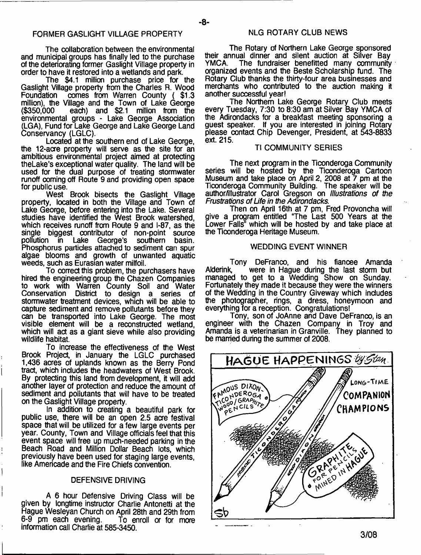The collaboration between the environmental and municipal groups has finally led to the purchase of the deteriorating former Gaslight Village property in order to have it restored into a wetlands and park.

The \$4.1 million purchase price for the Gaslight Village property from the Charles R. Wood<br>Foundation comes from Warren County (\$1.3) Formes from Warren County (\$1.3 million), the Village and the Town of Lake George (\$350,000 each) and \$2.1 million from the environmental groups - Lake George Association (LGA), Fund for Lake George and Lake George Land Conservancy (LGLC).

Located at the southern end of Lake George, the 12-acre property will serve as the site for an ambitious environmental project aimed at protecting theLake's exceptional water quality. The land will be used for the dual purpose of treating stormwater runoff coming off Route 9 and providing open space for public use.

West Brook bisects the Gaslight Village property, located in both the Village and Town of Lake George, before entering into the Lake. Several studies have identified the West Brook watershed, which receives runoff from Route 9 and i-87, as the single biggest contributor of non-point source pollution in Lake George's southern basin. Phosphorus particles attached to sediment can spur algae blooms and growth of unwanted aquatic weeds, such as Eurasian water milfoil.

To correct this problem, the purchasers have hired the engineering group the Chazen Companies to work with Warren County Soil and Water Conservation District to design a series of stormwater treatment devices, which will be able to capture sediment and remove pollutants before they can be transported into Lake George. The most visible element will be a reconstructed wetland, which will act as a giant sieve while also providing wildlife habitat.

To increase the effectiveness of the West Brook Project, in January the LGLC purchased 1,436 acres of uplands known as the Berry Pond tract, which includes the headwaters of West Brook. By protecting this land from development, it will add another layer of protection and reduce the amount of sediment and pollutants that will have to be treated on the Gaslight Village property.

In addition to creating a beautiful park for public use, there will be an open 2.5 acre festival space that will be utilized for a few large events per year. County, Town and Village officials feel that this event space will free up much-needed parking in the Beach Road and Million Dollar Beach lots, which previously have been used for staging large events, like Americade and the Fire Chiefs convention.

### DEFENSIVE DRIVING

A 6 hour Defensive Driving Class will be given by longtime instructor Charlie Antonetti at the Hague Wesleyan Church on April 28th and 29th from 6-9 pm each evening. To enroll or for more information call Charlie at 585-3450.

# NLG ROTARY CLUB NEWS

**-8-**

The Rotary of Northern Lake George sponsored their annual dinner and silent auction at Silver Bay YMCA. The fundraiser benefitted many community organized events and the Beste Scholarship fund. The Rotary Club thanks the thirty-four area businesses and merchants who contributed to the auction making it another successful year!

The Northern Lake George Rotary Club meets every Tuesday, 7:30 to 8:30 am at Silver Bay YMCA of the Adirondacks for a breakfast meeting sponsoring a guest speaker. If you are interested in joining Rotary please contact Chip Devenger, President, at 543-8833 ext. 215.

#### **TI COMMUNITY SERIES**

The next program in the Ticonderoga Community series will be hosted by the Ticonderoga Cartoon Museum and take place on April 2, 2008 at 7 pm at the Ticonderoga Community Building. The speaker will be author/illustrator Carol Gregson on *Illustrations of the Frustrations of Life in the Adirondacks.*

Then on April 16th at 7 pm, Fred Provoncha will give a program entitled "The Last 500 Years at the Lower Falls" which will be hosted by and take place at the Ticonderoga Heritage Museum.

#### WEDDING EVENT WINNER

Tony DeFranco, and his fiancee Amanda Alderink, were in Hague during the last storm but managed to get to a Wedding Show on Sunday. Fortunately they made it because they were the winners of the Wedding in the Country Giveway which includes the photographer, rings, a dress, honeymoon and everything for a reception. Congratulations!

Tony, son of JoAnne and Dave DeFranco, is an engineer with the Chazen Company in Troy and Amanda is a veterinarian in Granville. They planned to be married during the summer of 2008.

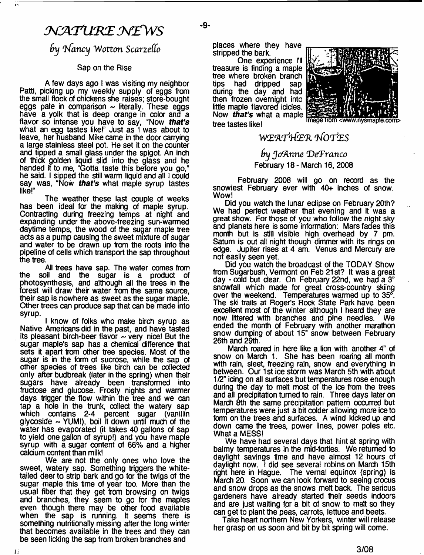# *jwaxmzMZWs*

71

 $by$  *Nancy Wotton Scarzello* 

### Sap on the Rise

A few days ago I was visiting my neighbor Patti, picking up my weekly supply of eggs from the small flock of chickens she raises; store-bought eggs pale in comparison  $\sim$  literally. These eggs have a yolk that is deep orange in color and a flavor so intense you have to say, "Now *that's* what an egg tastes like!" Just as I was about to leave, her husband Mike came in the door carrying a large stainless steel pot. He set it on the counter and tipped a small glass under the spigot. An inch of thick golden liquid slid into the glass and he handed it to me, "Gotta taste this before you go," he said. I sipped the still warm liquid and all I could say was, "Now *that's* what maple syrup tastes like!"

The weather these last couple of weeks has been ideal for the making of maple syrup. Contracting during freezing temps at night and expanding under the above-freezing sun-warmed daytime temps, the wood of the sugar maple tree acts as a pump causing the sweet mixture of sugar and water to be drawn up from the roots into the pipeline of cells which transport the sap throughout the tree.

Ail trees have sap. The water comes from the soil and the sugar is a product of photosynthesis, and although all the trees in the forest will draw their water from the same source, their sap is nowhere as sweet as the sugar maple. Other trees can produce sap that can be made into syrup.

I know of folks who make birch syrup as Native Americans did in the past, and have tasted its pleasant birch-beer flavor  $\sim$  very nice! But the sugar maple's sap has a chemical difference that sets it apart from other tree species. Most of the sugar is in the form of sucrose, while the sap of other species of trees like birch can be collected only after budbreak (later in the spring) when their sugars have already been transformed into fructose and glucose. Frosty nights and warmer days trigger the flow within the tree and we can tap a hole in the trunk, collect the watery sap which contains 2-4 percent sugar (vanillin glycoside - YUM I), boil it down until much of the water has evaporated (it takes 40 gallons of sap to yield one gallon of syrup!) and you have maple syrup with a sugar content of 66% and a higher calcium content than milk!

We are not the only ones who love the sweet, watery sap. Something triggers the whitetailed deer to strip bark and go for the twigs of the sugar maple this time of year too. More than the usual fiber that they get from browsing on twigs and branches, they seem to go for the maples even though there may be other food available when the sap is running. It seems there is something nutritionally missing after the long winter that becomes available in the trees and they can be seen licking the sap from broken branches and

11

places where they have stripped the bark.

One experience I'll treasure is finding a maple tree where broken branch<br>tips had dripped sap had dripped sap during the day and had then frozen overnight into little maple flavored icicles. Now *that's* what a maple tree tastes like!



**mage** nysmap!e.com>

**W ER.'rt&'R** *'FOT'fES*

*fry JtfA nn e 'DefFranco* February 18 - March 16, 2008

February 2008 will go on record as the snowiest February ever with *40+* inches of snow. Wow!

Did you watch the lunar eclipse on February 20th? We had perfect weather that evening and it was a great show. For those of you who follow the night sky and planets here is some information: Mars fades this month but is still visible high overhead by 7 pm. Saturn is out alt night though dimmer with its rings on edge. Jupiter rises at 4 am. Venus and Mercury are not easily seen yet.

Did you watch the broadcast of the TODAY Show from Sugarbush, Vermont on Feb 21st? It was a great day - cold but dear. On February 22nd, we had a 3" snowfall which made for great cross-country skiing over the weekend. Temperatures warmed up to 35°. The ski trails at Roger's Rock State Park have been excellent most of the winter although I heard they are now littered with branches and pine needles. ended the month of February with another marathon snow dumping of about 15" snow between February 26th and 29th.

March roared in here like a lion with another 4" of snow on March 1. She has been roaring all month with rain, sleet, freezing rain, snow and everything in between. Our 1st ice storm was March 5th with about 1/2" icing on all surfaces but temperatures rose enough during the day to melt most of the ioe from the trees and all predpitation turned to rain. Three days later on March 8th the same predpitation pattern occurred but temperatures were just a bit colder allowing more ice to form on the trees and surfaces. A wind kicked up and down came the trees, power lines, power poles etc. What a MESS!

We have had several days that hint at spring with balmy temperatures in the mid-forties. We returned to daylight savings time and have almost 12 hours of daylight now. I did see several robins on March 15th right here in Hague. The vernal equinox (spring) is March 20. Soon we can look forward to seeing crocus and snow drops as the snows melt back. The serious gardeners have already started their seeds indoors and are just waiting for a bit of snow to melt so they can get to plant the peas, carrots, lettuce and beets.

Take heart northern New Yorkers, winter will release her grasp on us soon and bit by bit spring will come.